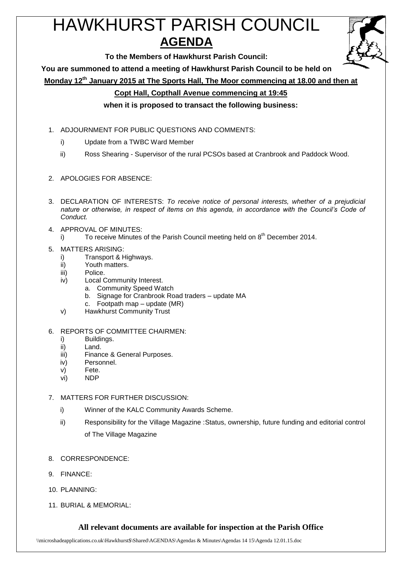# HAWKHURST PARISH COUNCIL **AGENDA**

**To the Members of Hawkhurst Parish Council:**

**You are summoned to attend a meeting of Hawkhurst Parish Council to be held on**

**Monday 12th January 2015 at The Sports Hall, The Moor commencing at 18.00 and then at** 

# **Copt Hall, Copthall Avenue commencing at 19:45**

**when it is proposed to transact the following business:**

- 1. ADJOURNMENT FOR PUBLIC QUESTIONS AND COMMENTS:
	- i) Update from a TWBC Ward Member
	- ii) Ross Shearing Supervisor of the rural PCSOs based at Cranbrook and Paddock Wood.
- 2. APOLOGIES FOR ABSENCE:
- 3. DECLARATION OF INTERESTS: *To receive notice of personal interests, whether of a prejudicial nature or otherwise, in respect of items on this agenda, in accordance with the Council's Code of Conduct.*
- 4. APPROVAL OF MINUTES:
	- i) To receive Minutes of the Parish Council meeting held on  $8<sup>th</sup>$  December 2014.
- 5. MATTERS ARISING:
	- i) Transport & Highways.
	- ii) Youth matters.
	- iii) Police.
	- iv) Local Community Interest.
		- a. Community Speed Watch
		- b. Signage for Cranbrook Road traders update MA
		- c. Footpath map update (MR)
	- v) Hawkhurst Community Trust
- 6. REPORTS OF COMMITTEE CHAIRMEN:
	- i) Buildings.
	- ii) Land.
	- iii) Finance & General Purposes.
	- iv) Personnel.
	- v) Fete.
	- vi) NDP

# 7. MATTERS FOR FURTHER DISCUSSION:

- i) Winner of the KALC Community Awards Scheme.
- ii) Responsibility for the Village Magazine :Status, ownership, future funding and editorial control of The Village Magazine
- 8. CORRESPONDENCE:
- 9. FINANCE:
- 10. PLANNING:
- 11. BURIAL & MEMORIAL:

# **All relevant documents are available for inspection at the Parish Office**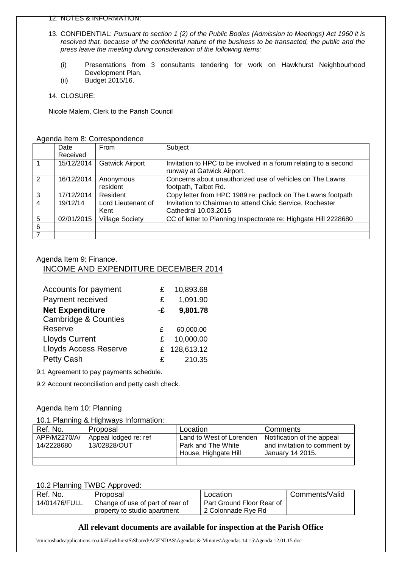#### 12. NOTES & INFORMATION:

- 13. CONFIDENTIAL: *Pursuant to section 1 (2) of the Public Bodies (Admission to Meetings) Act 1960 it is resolved that, because of the confidential nature of the business to be transacted, the public and the press leave the meeting during consideration of the following items:*
	- (i) Presentations from 3 consultants tendering for work on Hawkhurst Neighbourhood Development Plan.
	- (ii) Budget 2015/16.
- 14. CLOSURE:

Nicole Malem, Clerk to the Parish Council

|                | Date       | From                   | Subject                                                                                        |
|----------------|------------|------------------------|------------------------------------------------------------------------------------------------|
|                | Received   |                        |                                                                                                |
|                | 15/12/2014 | <b>Gatwick Airport</b> | Invitation to HPC to be involved in a forum relating to a second<br>runway at Gatwick Airport. |
| $\overline{2}$ | 16/12/2014 | Anonymous              | Concerns about unauthorized use of vehicles on The Lawns                                       |
|                |            | resident               | footpath, Talbot Rd.                                                                           |
| $\mathbf{3}$   | 17/12/2014 | Resident               | Copy letter from HPC 1989 re: padlock on The Lawns footpath                                    |
| $\overline{4}$ | 19/12/14   | Lord Lieutenant of     | Invitation to Chairman to attend Civic Service, Rochester                                      |
|                |            | Kent                   | Cathedral 10.03.2015                                                                           |
| 5              | 02/01/2015 | <b>Village Society</b> | CC of letter to Planning Inspectorate re: Highgate Hill 2228680                                |
| 6              |            |                        |                                                                                                |
|                |            |                        |                                                                                                |

#### Agenda Item 9: Finance.

#### INCOME AND EXPENDITURE DECEMBER 2014

| Accounts for payment            | £  | 10,893.68  |
|---------------------------------|----|------------|
| Payment received                | £  | 1,091.90   |
| <b>Net Expenditure</b>          | -£ | 9,801.78   |
| <b>Cambridge &amp; Counties</b> |    |            |
| Reserve                         | £  | 60,000.00  |
| <b>Lloyds Current</b>           | £  | 10,000.00  |
| <b>Lloyds Access Reserve</b>    | £. | 128,613.12 |
| <b>Petty Cash</b>               | £  | 210.35     |

9.1 Agreement to pay payments schedule.

9.2 Account reconciliation and petty cash check.

#### Agenda Item 10: Planning

#### 10.1 Planning & Highways Information:

| Ref. No.     | Proposal              | Location                 | Comments                     |
|--------------|-----------------------|--------------------------|------------------------------|
| APP/M2270/A/ | Appeal lodged re: ref | Land to West of Lorenden | Notification of the appeal   |
| 14/2228680   | 13/02828/OUT          | Park and The White       | and invitation to comment by |
|              |                       | House, Highgate Hill     | January 14 2015.             |
|              |                       |                          |                              |

#### 10.2 Planning TWBC Approved:

| Ref. No.      | Proposal                         | Location                  | Comments/Valid |
|---------------|----------------------------------|---------------------------|----------------|
| 14/01476/FULL | Change of use of part of rear of | Part Ground Floor Rear of |                |
|               | property to studio apartment     | 2 Colonnade Rye Rd        |                |

# **All relevant documents are available for inspection at the Parish Office**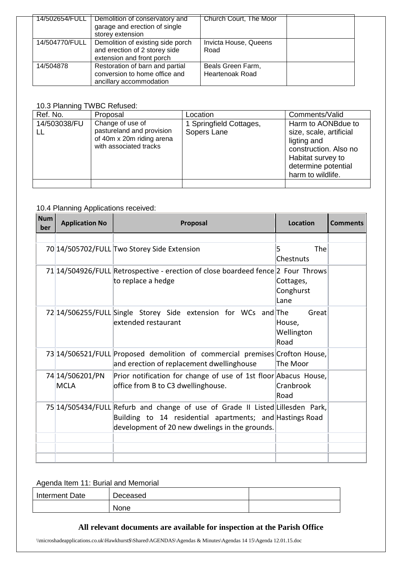|                | 14/502654/FULL   Demolition of conservatory and<br>garage and erection of single<br>storey extension | Church Court, The Moor                      |  |
|----------------|------------------------------------------------------------------------------------------------------|---------------------------------------------|--|
| 14/504770/FULL | Demolition of existing side porch<br>and erection of 2 storey side<br>extension and front porch      | Invicta House, Queens<br>Road               |  |
| 14/504878      | Restoration of barn and partial<br>conversion to home office and<br>ancillary accommodation          | Beals Green Farm,<br><b>Heartenoak Road</b> |  |

# 10.3 Planning TWBC Refused:

| Ref. No.     | Proposal                                                                                             | Location                               | Comments/Valid                                                                                                                                         |
|--------------|------------------------------------------------------------------------------------------------------|----------------------------------------|--------------------------------------------------------------------------------------------------------------------------------------------------------|
| 14/503038/FU | Change of use of<br>pastureland and provision<br>of 40m x 20m riding arena<br>with associated tracks | 1 Springfield Cottages,<br>Sopers Lane | Harm to AONBdue to<br>size, scale, artificial<br>ligting and<br>construction. Also no<br>Habitat survey to<br>determine potential<br>harm to wildlife. |
|              |                                                                                                      |                                        |                                                                                                                                                        |

# 10.4 Planning Applications received:

| <b>Num</b><br>ber | <b>Application No</b>          | Proposal                                                                                                                                                                                    | <b>Location</b>                       | <b>Comments</b> |
|-------------------|--------------------------------|---------------------------------------------------------------------------------------------------------------------------------------------------------------------------------------------|---------------------------------------|-----------------|
|                   |                                |                                                                                                                                                                                             |                                       |                 |
|                   |                                | 70 14/505702/FULL Two Storey Side Extension                                                                                                                                                 | The<br>5<br>Chestnuts                 |                 |
|                   |                                | 71 14/504926/FULL Retrospective - erection of close boardeed fence 2 Four Throws<br>to replace a hedge                                                                                      | Cottages,<br>Conghurst<br>Lane        |                 |
|                   |                                | 72 14/506255/FULL Single Storey Side extension for WCs and The<br>extended restaurant                                                                                                       | Great<br>House,<br>Wellington<br>Road |                 |
|                   |                                | 73 14/506521/FULL Proposed demolition of commercial premises Crofton House,<br>and erection of replacement dwellinghouse                                                                    | The Moor                              |                 |
|                   | 74 14/506201/PN<br><b>MCLA</b> | Prior notification for change of use of 1st floor Abacus House,<br>office from B to C3 dwellinghouse.                                                                                       | ∥Cranbrook<br>Road                    |                 |
|                   |                                | 75 14/505434/FULL Refurb and change of use of Grade II Listed Lillesden Park,<br>Building to 14 residential apartments; and Hastings Road<br>development of 20 new dwelings in the grounds. |                                       |                 |
|                   |                                |                                                                                                                                                                                             |                                       |                 |
|                   |                                |                                                                                                                                                                                             |                                       |                 |
|                   |                                |                                                                                                                                                                                             |                                       |                 |

# Agenda Item 11: Burial and Memorial

| <b>Interment Date</b> | Deceased |  |
|-----------------------|----------|--|
|                       | None     |  |

# **All relevant documents are available for inspection at the Parish Office**